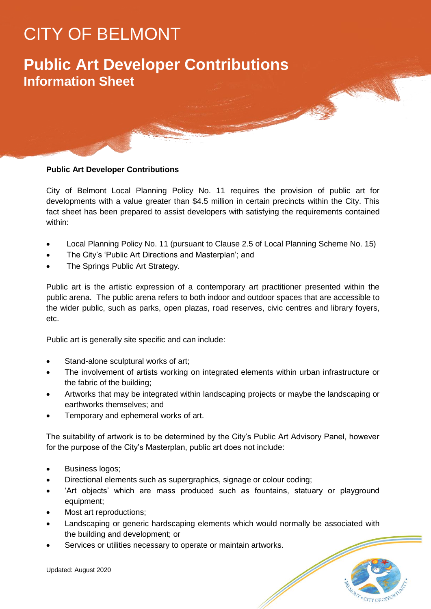# CITY OF BELMONT

## **Public Art Developer Contributions Information Sheet**

#### **Public Art Developer Contributions**

City of Belmont Local Planning Policy No. 11 requires the provision of public art for developments with a value greater than \$4.5 million in certain precincts within the City. This fact sheet has been prepared to assist developers with satisfying the requirements contained within:

- Local Planning Policy No. 11 (pursuant to Clause 2.5 of Local Planning Scheme No. 15)
- The City's 'Public Art Directions and Masterplan'; and
- The Springs Public Art Strategy.

Public art is the artistic expression of a contemporary art practitioner presented within the public arena. The public arena refers to both indoor and outdoor spaces that are accessible to the wider public, such as parks, open plazas, road reserves, civic centres and library foyers, etc.

Public art is generally site specific and can include:

- Stand-alone sculptural works of art;
- The involvement of artists working on integrated elements within urban infrastructure or the fabric of the building;
- Artworks that may be integrated within landscaping projects or maybe the landscaping or earthworks themselves; and
- Temporary and ephemeral works of art.

The suitability of artwork is to be determined by the City's Public Art Advisory Panel, however for the purpose of the City's Masterplan, public art does not include:

- Business logos:
- Directional elements such as supergraphics, signage or colour coding;
- 'Art objects' which are mass produced such as fountains, statuary or playground equipment;
- Most art reproductions;
- Landscaping or generic hardscaping elements which would normally be associated with the building and development; or

CITY OF OPPC

Services or utilities necessary to operate or maintain artworks.

Updated: August 2020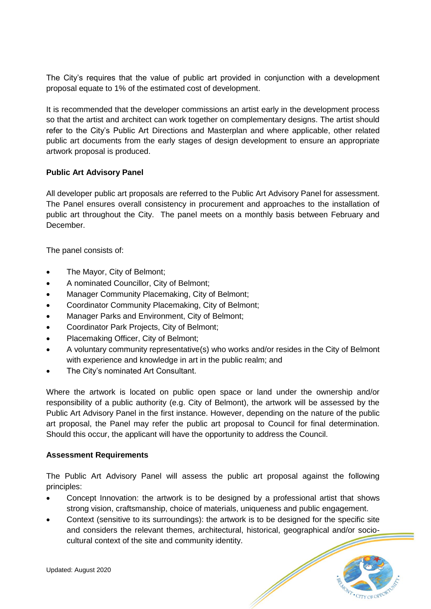The City's requires that the value of public art provided in conjunction with a development proposal equate to 1% of the estimated cost of development.

It is recommended that the developer commissions an artist early in the development process so that the artist and architect can work together on complementary designs. The artist should refer to the City's Public Art Directions and Masterplan and where applicable, other related public art documents from the early stages of design development to ensure an appropriate artwork proposal is produced.

#### **Public Art Advisory Panel**

All developer public art proposals are referred to the Public Art Advisory Panel for assessment. The Panel ensures overall consistency in procurement and approaches to the installation of public art throughout the City. The panel meets on a monthly basis between February and December.

The panel consists of:

- The Mayor, City of Belmont;
- A nominated Councillor, City of Belmont;
- Manager Community Placemaking, City of Belmont;
- Coordinator Community Placemaking, City of Belmont;
- Manager Parks and Environment, City of Belmont;
- Coordinator Park Projects, City of Belmont;
- Placemaking Officer, City of Belmont;
- A voluntary community representative(s) who works and/or resides in the City of Belmont with experience and knowledge in art in the public realm; and
- The City's nominated Art Consultant.

Where the artwork is located on public open space or land under the ownership and/or responsibility of a public authority (e.g. City of Belmont), the artwork will be assessed by the Public Art Advisory Panel in the first instance. However, depending on the nature of the public art proposal, the Panel may refer the public art proposal to Council for final determination. Should this occur, the applicant will have the opportunity to address the Council.

#### **Assessment Requirements**

The Public Art Advisory Panel will assess the public art proposal against the following principles:

- Concept Innovation: the artwork is to be designed by a professional artist that shows strong vision, craftsmanship, choice of materials, uniqueness and public engagement.
- Context (sensitive to its surroundings): the artwork is to be designed for the specific site and considers the relevant themes, architectural, historical, geographical and/or sociocultural context of the site and community identity.

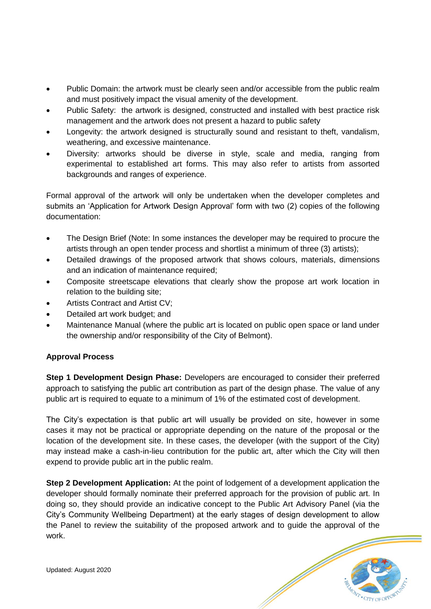- Public Domain: the artwork must be clearly seen and/or accessible from the public realm and must positively impact the visual amenity of the development.
- Public Safety: the artwork is designed, constructed and installed with best practice risk management and the artwork does not present a hazard to public safety
- Longevity: the artwork designed is structurally sound and resistant to theft, vandalism, weathering, and excessive maintenance.
- Diversity: artworks should be diverse in style, scale and media, ranging from experimental to established art forms. This may also refer to artists from assorted backgrounds and ranges of experience.

Formal approval of the artwork will only be undertaken when the developer completes and submits an 'Application for Artwork Design Approval' form with two (2) copies of the following documentation:

- The Design Brief (Note: In some instances the developer may be required to procure the artists through an open tender process and shortlist a minimum of three (3) artists);
- Detailed drawings of the proposed artwork that shows colours, materials, dimensions and an indication of maintenance required;
- Composite streetscape elevations that clearly show the propose art work location in relation to the building site;
- Artists Contract and Artist CV;
- Detailed art work budget: and
- Maintenance Manual (where the public art is located on public open space or land under the ownership and/or responsibility of the City of Belmont).

#### **Approval Process**

**Step 1 Development Design Phase:** Developers are encouraged to consider their preferred approach to satisfying the public art contribution as part of the design phase. The value of any public art is required to equate to a minimum of 1% of the estimated cost of development.

The City's expectation is that public art will usually be provided on site, however in some cases it may not be practical or appropriate depending on the nature of the proposal or the location of the development site. In these cases, the developer (with the support of the City) may instead make a cash-in-lieu contribution for the public art, after which the City will then expend to provide public art in the public realm.

**Step 2 Development Application:** At the point of lodgement of a development application the developer should formally nominate their preferred approach for the provision of public art. In doing so, they should provide an indicative concept to the Public Art Advisory Panel (via the City's Community Wellbeing Department) at the early stages of design development to allow the Panel to review the suitability of the proposed artwork and to guide the approval of the work.